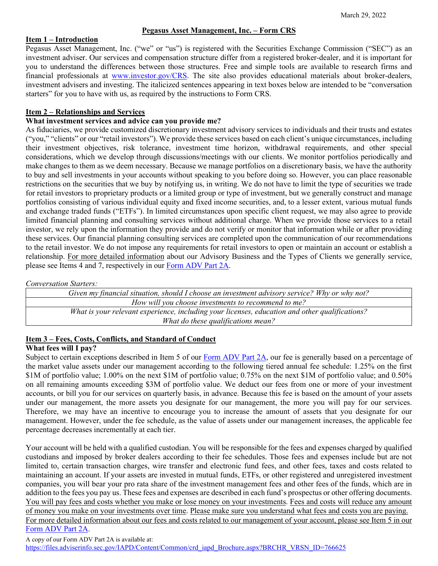#### **Pegasus Asset Management, Inc. – Form CRS**

#### **Item 1 – Introduction**

Pegasus Asset Management, Inc. ("we" or "us") is registered with the Securities Exchange Commission ("SEC") as an investment adviser. Our services and compensation structure differ from a registered broker-dealer, and it is important for you to understand the differences between those structures. Free and simple tools are available to research firms and financial professionals at [www.investor.gov/CRS.](http://www.investor.gov/CRS) The site also provides educational materials about broker-dealers, investment advisers and investing. The italicized sentences appearing in text boxes below are intended to be "conversation starters" for you to have with us, as required by the instructions to Form CRS.

## **Item 2 – Relationships and Services**

## **What investment services and advice can you provide me?**

As fiduciaries, we provide customized discretionary investment advisory services to individuals and their trusts and estates ("you," "clients" or our "retail investors"). We provide these services based on each client's unique circumstances, including their investment objectives, risk tolerance, investment time horizon, withdrawal requirements, and other special considerations, which we develop through discussions/meetings with our clients. We monitor portfolios periodically and make changes to them as we deem necessary. Because we manage portfolios on a discretionary basis, we have the authority to buy and sell investments in your accounts without speaking to you before doing so. However, you can place reasonable restrictions on the securities that we buy by notifying us, in writing. We do not have to limit the type of securities we trade for retail investors to proprietary products or a limited group or type of investment, but we generally construct and manage portfolios consisting of various individual equity and fixed income securities, and, to a lesser extent, various mutual funds and exchange traded funds ("ETFs"). In limited circumstances upon specific client request, we may also agree to provide limited financial planning and consulting services without additional charge. When we provide those services to a retail investor, we rely upon the information they provide and do not verify or monitor that information while or after providing these services. Our financial planning consulting services are completed upon the communication of our recommendations to the retail investor. We do not impose any requirements for retail investors to open or maintain an account or establish a relationship. For more detailed information about our Advisory Business and the Types of Clients we generally service, please see Items 4 and 7, respectively in our [Form ADV Part 2A.](https://files.adviserinfo.sec.gov/IAPD/Content/Common/crd_iapd_Brochure.aspx?BRCHR_VRSN_ID=766625)

*Conversation Starters:*

*Given my financial situation, should I choose an investment advisory service? Why or why not? How will you choose investments to recommend to me? What is your relevant experience, including your licenses, education and other qualifications? What do these qualifications mean?*

## **Item 3 – Fees, Costs, Conflicts, and Standard of Conduct**

# **What fees will I pay?**

Subject to certain exceptions described in Item 5 of our [Form ADV Part 2A,](https://files.adviserinfo.sec.gov/IAPD/Content/Common/crd_iapd_Brochure.aspx?BRCHR_VRSN_ID=766625) our fee is generally based on a percentage of the market value assets under our management according to the following tiered annual fee schedule: 1.25% on the first \$1M of portfolio value; 1.00% on the next \$1M of portfolio value; 0.75% on the next \$1M of portfolio value; and 0.50% on all remaining amounts exceeding \$3M of portfolio value. We deduct our fees from one or more of your investment accounts, or bill you for our services on quarterly basis, in advance. Because this fee is based on the amount of your assets under our management, the more assets you designate for our management, the more you will pay for our services. Therefore, we may have an incentive to encourage you to increase the amount of assets that you designate for our management. However, under the fee schedule, as the value of assets under our management increases, the applicable fee percentage decreases incrementally at each tier.

Your account will be held with a qualified custodian. You will be responsible for the fees and expenses charged by qualified custodians and imposed by broker dealers according to their fee schedules. Those fees and expenses include but are not limited to, certain transaction charges, wire transfer and electronic fund fees, and other fees, taxes and costs related to maintaining an account. If your assets are invested in mutual funds, ETFs, or other registered and unregistered investment companies, you will bear your pro rata share of the investment management fees and other fees of the funds, which are in addition to the fees you pay us. These fees and expenses are described in each fund's prospectus or other offering documents. You will pay fees and costs whether you make or lose money on your investments. Fees and costs will reduce any amount of money you make on your investments over time. Please make sure you understand what fees and costs you are paying. For more detailed information about our fees and costs related to our management of your account, please see Item 5 in our [Form ADV Part 2A.](https://files.adviserinfo.sec.gov/IAPD/Content/Common/crd_iapd_Brochure.aspx?BRCHR_VRSN_ID=766625)

A copy of our Form ADV Part 2A is available at:

[https://files.adviserinfo.sec.gov/IAPD/Content/Common/crd\\_iapd\\_Brochure.aspx?BRCHR\\_VRSN\\_ID=766625](https://files.adviserinfo.sec.gov/IAPD/Content/Common/crd_iapd_Brochure.aspx?BRCHR_VRSN_ID=766625)